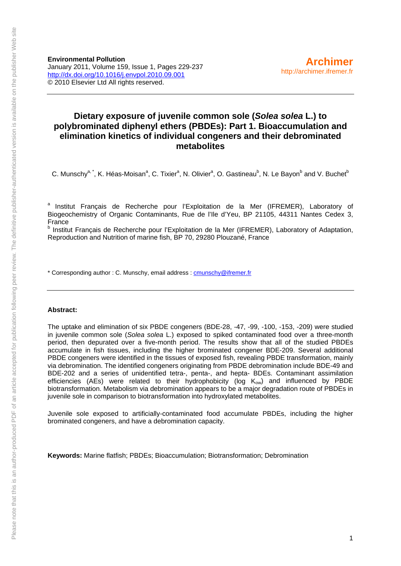**Environmental Pollution**  January 2011, Volume 159, Issue 1, Pages 229-237 <http://dx.doi.org/10.1016/j.envpol.2010.09.001> © 2010 Elsevier Ltd All rights reserved.

## **Dietary exposure of juvenile common sole (***Solea solea* **L.) to polybrominated diphenyl ethers (PBDEs): Part 1. Bioaccumulation and elimination kinetics of individual congeners and their debrominated metabolites**

C. Munschy<sup>a, \*</sup>, K. Héas-Moisan<sup>a</sup>, C. Tixier<sup>a</sup>, N. Olivier<sup>a</sup>, O. Gastineau<sup>b</sup>, N. Le Bayon<sup>b</sup> and V. Buchet<sup>b</sup>

<sup>a</sup> Institut Français de Recherche pour l'Exploitation de la Mer (IFREMER), Laboratory of Biogeochemistry of Organic Contaminants, Rue de l'Ile d'Yeu, BP 21105, 44311 Nantes Cedex 3, France

<sup>b</sup> Institut Français de Recherche pour l'Exploitation de la Mer (IFREMER), Laboratory of Adaptation, Reproduction and Nutrition of marine fish, BP 70, 29280 Plouzané, France

\* Corresponding author : C. Munschy, email address : [cmunschy@ifremer.fr](mailto:cmunschy@ifremer.fr)

#### **Abstract:**

The uptake and elimination of six PBDE congeners (BDE-28, -47, -99, -100, -153, -209) were studied in juvenile common sole (*Solea solea* L.) exposed to spiked contaminated food over a three-month period, then depurated over a five-month period. The results show that all of the studied PBDEs accumulate in fish tissues, including the higher brominated congener BDE-209. Several additional PBDE congeners were identified in the tissues of exposed fish, revealing PBDE transformation, mainly via debromination. The identified congeners originating from PBDE debromination include BDE-49 and BDE-202 and a series of unidentified tetra-, penta-, and hepta- BDEs. Contaminant assimilation efficiencies (AEs) were related to their hydrophobicity (log  $K_{ow}$ ) and influenced by PBDE biotransformation. Metabolism via debromination appears to be a major degradation route of PBDEs in juvenile sole in comparison to biotransformation into hydroxylated metabolites.

Juvenile sole exposed to artificially-contaminated food accumulate PBDEs, including the higher brominated congeners, and have a debromination capacity.

**Keywords:** Marine flatfish; PBDEs; Bioaccumulation; Biotransformation; Debromination

**[Archimer](http://archimer.ifremer.fr/)**

http://archimer.ifremer.fr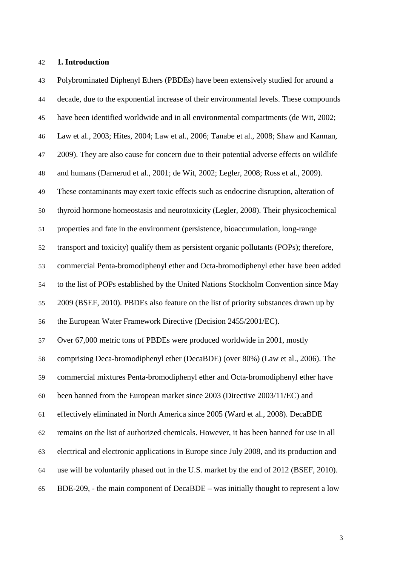#### **1. Introduction**

Polybrominated Diphenyl Ethers (PBDEs) have been extensively studied for around a decade, due to the exponential increase of their environmental levels. These compounds have been identified worldwide and in all environmental compartments (de Wit, 2002; Law et al., 2003; Hites, 2004; Law et al., 2006; Tanabe et al., 2008; Shaw and Kannan, 2009). They are also cause for concern due to their potential adverse effects on wildlife and humans (Darnerud et al., 2001; de Wit, 2002; Legler, 2008; Ross et al., 2009). These contaminants may exert toxic effects such as endocrine disruption, alteration of thyroid hormone homeostasis and neurotoxicity (Legler, 2008). Their physicochemical properties and fate in the environment (persistence, bioaccumulation, long-range transport and toxicity) qualify them as persistent organic pollutants (POPs); therefore, commercial Penta-bromodiphenyl ether and Octa-bromodiphenyl ether have been added to the list of POPs established by the United Nations Stockholm Convention since May 2009 (BSEF, 2010). PBDEs also feature on the list of priority substances drawn up by the European Water Framework Directive (Decision 2455/2001/EC). Over 67,000 metric tons of PBDEs were produced worldwide in 2001, mostly comprising Deca-bromodiphenyl ether (DecaBDE) (over 80%) (Law et al., 2006). The commercial mixtures Penta-bromodiphenyl ether and Octa-bromodiphenyl ether have been banned from the European market since 2003 (Directive 2003/11/EC) and effectively eliminated in North America since 2005 (Ward et al., 2008). DecaBDE remains on the list of authorized chemicals. However, it has been banned for use in all electrical and electronic applications in Europe since July 2008, and its production and use will be voluntarily phased out in the U.S. market by the end of 2012 (BSEF, 2010). BDE-209, - the main component of DecaBDE – was initially thought to represent a low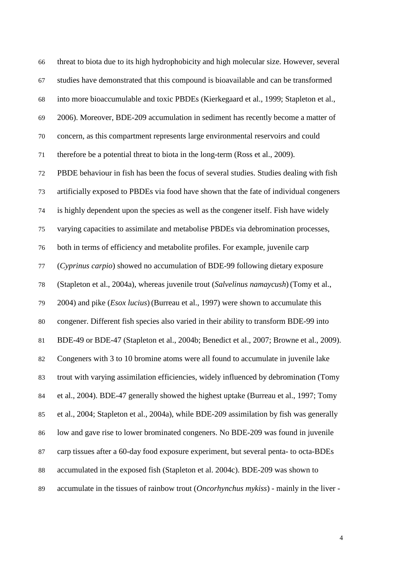threat to biota due to its high hydrophobicity and high molecular size. However, several studies have demonstrated that this compound is bioavailable and can be transformed into more bioaccumulable and toxic PBDEs (Kierkegaard et al., 1999; Stapleton et al., 2006). Moreover, BDE-209 accumulation in sediment has recently become a matter of concern, as this compartment represents large environmental reservoirs and could therefore be a potential threat to biota in the long-term (Ross et al., 2009). PBDE behaviour in fish has been the focus of several studies. Studies dealing with fish artificially exposed to PBDEs via food have shown that the fate of individual congeners is highly dependent upon the species as well as the congener itself. Fish have widely varying capacities to assimilate and metabolise PBDEs via debromination processes, both in terms of efficiency and metabolite profiles. For example, juvenile carp (*Cyprinus carpio*) showed no accumulation of BDE-99 following dietary exposure (Stapleton et al., 2004a), whereas juvenile trout (*Salvelinus namaycush*) (Tomy et al., 2004) and pike (*Esox lucius*) (Burreau et al., 1997) were shown to accumulate this congener. Different fish species also varied in their ability to transform BDE-99 into BDE-49 or BDE-47 (Stapleton et al., 2004b; Benedict et al., 2007; Browne et al., 2009). Congeners with 3 to 10 bromine atoms were all found to accumulate in juvenile lake trout with varying assimilation efficiencies, widely influenced by debromination (Tomy et al., 2004). BDE-47 generally showed the highest uptake (Burreau et al., 1997; Tomy et al., 2004; Stapleton et al., 2004a), while BDE-209 assimilation by fish was generally low and gave rise to lower brominated congeners. No BDE-209 was found in juvenile carp tissues after a 60-day food exposure experiment, but several penta- to octa-BDEs accumulated in the exposed fish (Stapleton et al. 2004c). BDE-209 was shown to accumulate in the tissues of rainbow trout (*Oncorhynchus mykiss*) - mainly in the liver -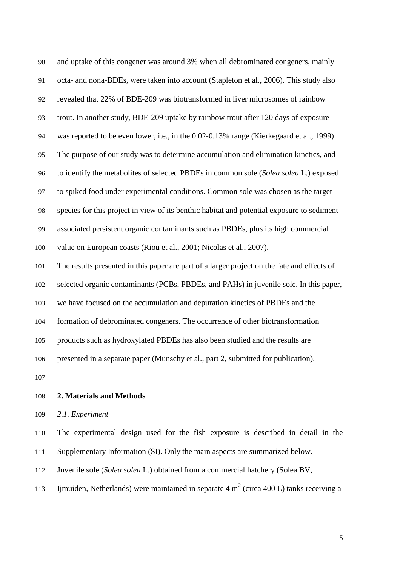| 90  | and uptake of this congener was around 3% when all debrominated congeners, mainly           |
|-----|---------------------------------------------------------------------------------------------|
| 91  | octa- and nona-BDEs, were taken into account (Stapleton et al., 2006). This study also      |
| 92  | revealed that 22% of BDE-209 was biotransformed in liver microsomes of rainbow              |
| 93  | trout. In another study, BDE-209 uptake by rainbow trout after 120 days of exposure         |
| 94  | was reported to be even lower, i.e., in the 0.02-0.13% range (Kierkegaard et al., 1999).    |
| 95  | The purpose of our study was to determine accumulation and elimination kinetics, and        |
| 96  | to identify the metabolites of selected PBDEs in common sole (Solea solea L.) exposed       |
| 97  | to spiked food under experimental conditions. Common sole was chosen as the target          |
| 98  | species for this project in view of its benthic habitat and potential exposure to sediment- |
| 99  | associated persistent organic contaminants such as PBDEs, plus its high commercial          |
| 100 | value on European coasts (Riou et al., 2001; Nicolas et al., 2007).                         |
| 101 | The results presented in this paper are part of a larger project on the fate and effects of |
| 102 | selected organic contaminants (PCBs, PBDEs, and PAHs) in juvenile sole. In this paper,      |
| 103 | we have focused on the accumulation and depuration kinetics of PBDEs and the                |
| 104 | formation of debrominated congeners. The occurrence of other biotransformation              |
| 105 | products such as hydroxylated PBDEs has also been studied and the results are               |
| 106 | presented in a separate paper (Munschy et al., part 2, submitted for publication).          |
| 107 |                                                                                             |

- **2. Materials and Methods**
- *2.1. Experiment*

The experimental design used for the fish exposure is described in detail in the 111 Supplementary Information (SI). Only the main aspects are summarized below.

Juvenile sole (*Solea solea* L*.*) obtained from a commercial hatchery (Solea BV,

113 Ijmuiden, Netherlands) were maintained in separate  $4 \text{ m}^2$  (circa 400 L) tanks receiving a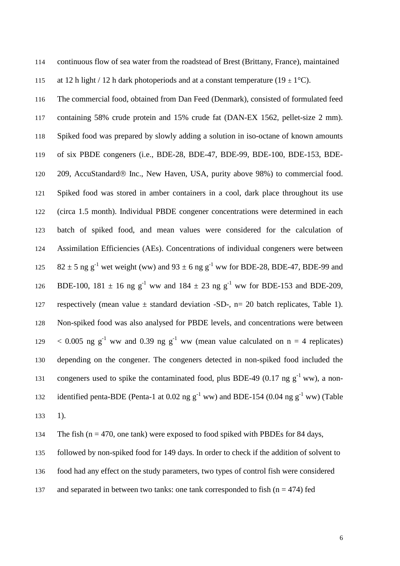continuous flow of sea water from the roadstead of Brest (Brittany, France), maintained

115 at 12 h light / 12 h dark photoperiods and at a constant temperature (19  $\pm$  1<sup>o</sup>C).

The commercial food, obtained from Dan Feed (Denmark), consisted of formulated feed containing 58% crude protein and 15% crude fat (DAN-EX 1562, pellet-size 2 mm). Spiked food was prepared by slowly adding a solution in iso-octane of known amounts of six PBDE congeners (i.e., BDE-28, BDE-47, BDE-99, BDE-100, BDE-153, BDE-120 209, AccuStandard ® Inc., New Haven, USA, purity above 98%) to commercial food. Spiked food was stored in amber containers in a cool, dark place throughout its use (circa 1.5 month). Individual PBDE congener concentrations were determined in each batch of spiked food, and mean values were considered for the calculation of Assimilation Efficiencies (AEs). Concentrations of individual congeners were between 125 82  $\pm$  5 ng g<sup>-1</sup> wet weight (ww) and 93  $\pm$  6 ng g<sup>-1</sup> ww for BDE-28, BDE-47, BDE-99 and 126 BDE-100, 181  $\pm$  16 ng g<sup>-1</sup> ww and 184  $\pm$  23 ng g<sup>-1</sup> ww for BDE-153 and BDE-209, respectively (mean value *±* standard deviation -SD-, n= 20 batch replicates, Table 1). Non-spiked food was also analysed for PBDE levels, and concentrations were between  $\leq$  0.005 ng g<sup>-1</sup> ww and 0.39 ng g<sup>-1</sup> ww (mean value calculated on n = 4 replicates) depending on the congener. The congeners detected in non-spiked food included the 131 congeners used to spike the contaminated food, plus BDE-49 (0.17 ng  $g^{-1}$  ww), a nonidentified penta-BDE (Penta-1 at 0.02 ng  $g^{-1}$  ww) and BDE-154 (0.04 ng  $g^{-1}$  ww) (Table 1).

134 The fish ( $n = 470$ , one tank) were exposed to food spiked with PBDEs for 84 days,

followed by non-spiked food for 149 days. In order to check if the addition of solvent to

food had any effect on the study parameters, two types of control fish were considered

137 and separated in between two tanks: one tank corresponded to fish ( $n = 474$ ) fed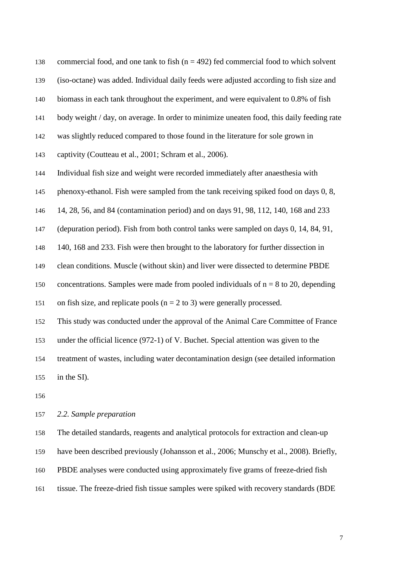138 commercial food, and one tank to fish  $(n = 492)$  fed commercial food to which solvent (iso-octane) was added. Individual daily feeds were adjusted according to fish size and biomass in each tank throughout the experiment, and were equivalent to 0.8% of fish body weight / day, on average. In order to minimize uneaten food, this daily feeding rate was slightly reduced compared to those found in the literature for sole grown in captivity (Coutteau et al., 2001; Schram et al., 2006). Individual fish size and weight were recorded immediately after anaesthesia with phenoxy-ethanol. Fish were sampled from the tank receiving spiked food on days 0, 8, 14, 28, 56, and 84 (contamination period) and on days 91, 98, 112, 140, 168 and 233 (depuration period). Fish from both control tanks were sampled on days 0, 14, 84, 91, 140, 168 and 233. Fish were then brought to the laboratory for further dissection in clean conditions. Muscle (without skin) and liver were dissected to determine PBDE 150 concentrations. Samples were made from pooled individuals of  $n = 8$  to 20, depending 151 on fish size, and replicate pools  $(n = 2 \text{ to } 3)$  were generally processed. This study was conducted under the approval of the Animal Care Committee of France under the official licence (972-1) of V. Buchet. Special attention was given to the treatment of wastes, including water decontamination design (see detailed information in the SI).

### *2.2. Sample preparation*

The detailed standards, reagents and analytical protocols for extraction and clean-up

have been described previously (Johansson et al., 2006; Munschy et al., 2008). Briefly,

PBDE analyses were conducted using approximately five grams of freeze-dried fish

tissue. The freeze-dried fish tissue samples were spiked with recovery standards (BDE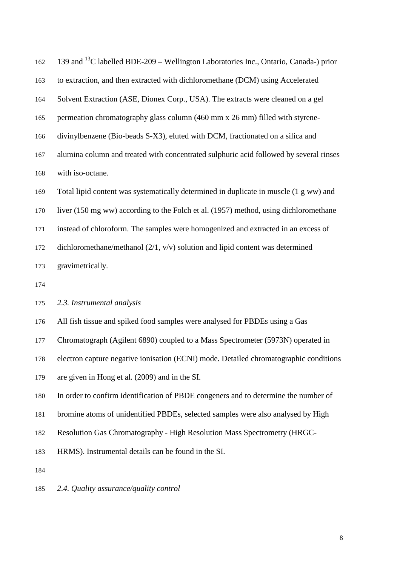| 162 | 139 and <sup>13</sup> C labelled BDE-209 – Wellington Laboratories Inc., Ontario, Canada-) prior |
|-----|--------------------------------------------------------------------------------------------------|
| 163 | to extraction, and then extracted with dichloromethane (DCM) using Accelerated                   |
| 164 | Solvent Extraction (ASE, Dionex Corp., USA). The extracts were cleaned on a gel                  |
| 165 | permeation chromatography glass column (460 mm x 26 mm) filled with styrene-                     |
| 166 | divinylbenzene (Bio-beads S-X3), eluted with DCM, fractionated on a silica and                   |
| 167 | alumina column and treated with concentrated sulphuric acid followed by several rinses           |
| 168 | with iso-octane.                                                                                 |
| 169 | Total lipid content was systematically determined in duplicate in muscle (1 g ww) and            |
| 170 | liver (150 mg ww) according to the Folch et al. (1957) method, using dichloromethane             |
| 171 | instead of chloroform. The samples were homogenized and extracted in an excess of                |
| 172 | dichloromethane/methanol $(2/1, v/v)$ solution and lipid content was determined                  |
| 173 | gravimetrically.                                                                                 |
| 174 |                                                                                                  |
| 175 | 2.3. Instrumental analysis                                                                       |

- All fish tissue and spiked food samples were analysed for PBDEs using a Gas
- Chromatograph (Agilent 6890) coupled to a Mass Spectrometer (5973N) operated in
- electron capture negative ionisation (ECNI) mode. Detailed chromatographic conditions
- are given in Hong et al. (2009) and in the SI.
- In order to confirm identification of PBDE congeners and to determine the number of
- bromine atoms of unidentified PBDEs, selected samples were also analysed by High
- Resolution Gas Chromatography High Resolution Mass Spectrometry (HRGC-
- HRMS). Instrumental details can be found in the SI.
- 
- *2.4. Quality assurance/quality control*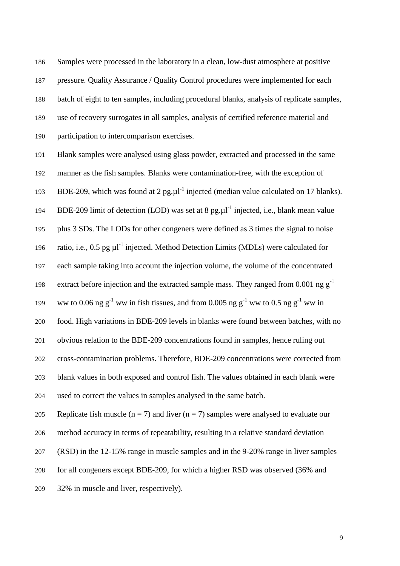Samples were processed in the laboratory in a clean, low-dust atmosphere at positive pressure. Quality Assurance / Quality Control procedures were implemented for each batch of eight to ten samples, including procedural blanks, analysis of replicate samples, use of recovery surrogates in all samples, analysis of certified reference material and participation to intercomparison exercises.

Blank samples were analysed using glass powder, extracted and processed in the same manner as the fish samples. Blanks were contamination-free, with the exception of BDE-209, which was found at 2 pg.ul<sup>-1</sup> injected (median value calculated on 17 blanks). 194 BDE-209 limit of detection (LOD) was set at 8 pg.ul<sup>-1</sup> injected, i.e., blank mean value plus 3 SDs. The LODs for other congeners were defined as 3 times the signal to noise 196 ratio, i.e., 0.5 pg  $\mu$ <sup>1</sup> injected. Method Detection Limits (MDLs) were calculated for each sample taking into account the injection volume, the volume of the concentrated 198 extract before injection and the extracted sample mass. They ranged from 0.001 ng  $g^{-1}$ ww to 0.06 ng  $g^{-1}$  ww in fish tissues, and from 0.005 ng  $g^{-1}$  ww to 0.5 ng  $g^{-1}$  ww in food. High variations in BDE-209 levels in blanks were found between batches, with no obvious relation to the BDE-209 concentrations found in samples, hence ruling out cross-contamination problems. Therefore, BDE-209 concentrations were corrected from blank values in both exposed and control fish. The values obtained in each blank were used to correct the values in samples analysed in the same batch. 205 Replicate fish muscle ( $n = 7$ ) and liver ( $n = 7$ ) samples were analysed to evaluate our method accuracy in terms of repeatability, resulting in a relative standard deviation (RSD) in the 12-15% range in muscle samples and in the 9-20% range in liver samples for all congeners except BDE-209, for which a higher RSD was observed (36% and

32% in muscle and liver, respectively).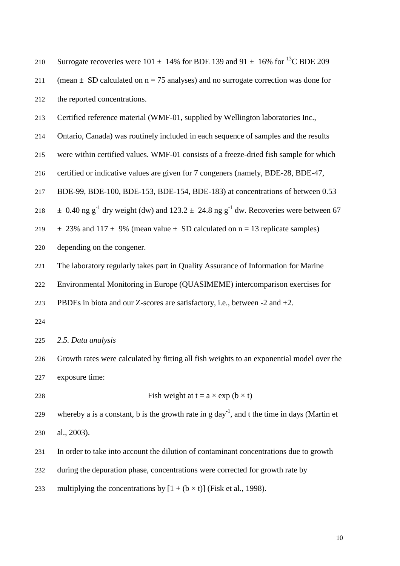| 210 | Surrogate recoveries were 101 $\pm$ 14% for BDE 139 and 91 $\pm$ 16% for <sup>13</sup> C BDE 209                     |
|-----|----------------------------------------------------------------------------------------------------------------------|
| 211 | (mean $\pm$ SD calculated on n = 75 analyses) and no surrogate correction was done for                               |
| 212 | the reported concentrations.                                                                                         |
| 213 | Certified reference material (WMF-01, supplied by Wellington laboratories Inc.,                                      |
| 214 | Ontario, Canada) was routinely included in each sequence of samples and the results                                  |
| 215 | were within certified values. WMF-01 consists of a freeze-dried fish sample for which                                |
| 216 | certified or indicative values are given for 7 congeners (namely, BDE-28, BDE-47,                                    |
| 217 | BDE-99, BDE-100, BDE-153, BDE-154, BDE-183) at concentrations of between 0.53                                        |
| 218 | $\pm$ 0.40 ng g <sup>-1</sup> dry weight (dw) and 123.2 $\pm$ 24.8 ng g <sup>-1</sup> dw. Recoveries were between 67 |
| 219 | $\pm$ 23% and 117 $\pm$ 9% (mean value $\pm$ SD calculated on n = 13 replicate samples)                              |
| 220 | depending on the congener.                                                                                           |
| 221 | The laboratory regularly takes part in Quality Assurance of Information for Marine                                   |
| 222 | Environmental Monitoring in Europe (QUASIMEME) intercomparison exercises for                                         |
| 223 | PBDEs in biota and our Z-scores are satisfactory, i.e., between $-2$ and $+2$ .                                      |
| 224 |                                                                                                                      |
| 225 | 2.5. Data analysis                                                                                                   |
| 226 | Growth rates were calculated by fitting all fish weights to an exponential model over the                            |
| 227 | exposure time:                                                                                                       |
| 228 | Fish weight at $t = a \times exp(b \times t)$                                                                        |
| 229 | whereby a is a constant, b is the growth rate in $g \, day^{-1}$ , and t the time in days (Martin et                 |
| 230 | al., 2003).                                                                                                          |
| 231 | In order to take into account the dilution of contaminant concentrations due to growth                               |
| 232 | during the depuration phase, concentrations were corrected for growth rate by                                        |
| 233 | multiplying the concentrations by $[1 + (b \times t)]$ (Fisk et al., 1998).                                          |
|     |                                                                                                                      |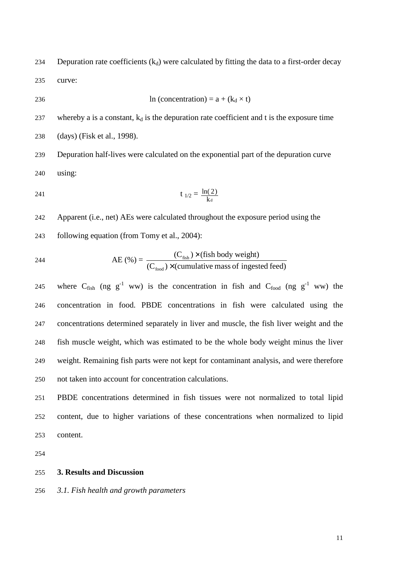234 Depuration rate coefficients  $(k_d)$  were calculated by fitting the data to a first-order decay curve:

$$
236 \qquad \qquad \ln \text{(concentration)} = a + (k_d \times t)
$$

237 whereby a is a constant,  $k_d$  is the depuration rate coefficient and t is the exposure time

(days) (Fisk et al., 1998).

Depuration half-lives were calculated on the exponential part of the depuration curve using:

241 
$$
t_{1/2} = \frac{\ln(2)}{k_d}
$$

Apparent (i.e., net) AEs were calculated throughout the exposure period using the following equation (from Tomy et al., 2004):

244 AE (
$$
\%
$$
) =  $\frac{(C_{\text{fish}}) \times (\text{fish body weight})}{(C_{\text{food}}) \times (\text{cumulative mass of ingested feed})}$ 

245 where  $C_{fish}$  (ng  $g^{-1}$  ww) is the concentration in fish and  $C_{food}$  (ng  $g^{-1}$  ww) the concentration in food. PBDE concentrations in fish were calculated using the concentrations determined separately in liver and muscle, the fish liver weight and the fish muscle weight, which was estimated to be the whole body weight minus the liver weight. Remaining fish parts were not kept for contaminant analysis, and were therefore not taken into account for concentration calculations.

PBDE concentrations determined in fish tissues were not normalized to total lipid content, due to higher variations of these concentrations when normalized to lipid content.

#### **3. Results and Discussion**

*3.1. Fish health and growth parameters*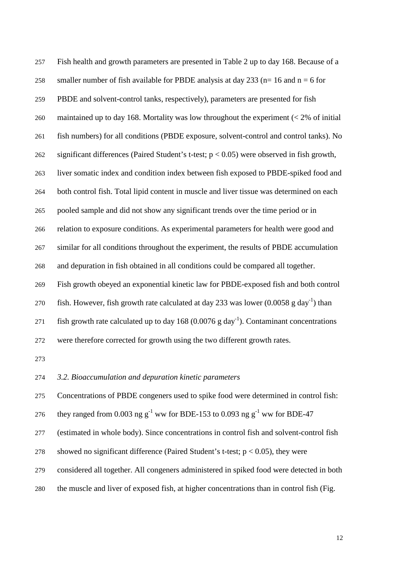Fish health and growth parameters are presented in Table 2 up to day 168. Because of a 258 smaller number of fish available for PBDE analysis at day 233 ( $n=16$  and  $n=6$  for PBDE and solvent-control tanks, respectively), parameters are presented for fish maintained up to day 168. Mortality was low throughout the experiment (< 2% of initial fish numbers) for all conditions (PBDE exposure, solvent-control and control tanks). No 262 significant differences (Paired Student's t-test;  $p < 0.05$ ) were observed in fish growth, liver somatic index and condition index between fish exposed to PBDE-spiked food and both control fish. Total lipid content in muscle and liver tissue was determined on each pooled sample and did not show any significant trends over the time period or in relation to exposure conditions. As experimental parameters for health were good and similar for all conditions throughout the experiment, the results of PBDE accumulation and depuration in fish obtained in all conditions could be compared all together. Fish growth obeyed an exponential kinetic law for PBDE-exposed fish and both control 270 fish. However, fish growth rate calculated at day 233 was lower  $(0.0058 \text{ g day}^{-1})$  than 271 fish growth rate calculated up to day 168  $(0.0076 \text{ g day}^{-1})$ . Contaminant concentrations were therefore corrected for growth using the two different growth rates.

*3.2. Bioaccumulation and depuration kinetic parameters* 

Concentrations of PBDE congeners used to spike food were determined in control fish:

276 they ranged from 0.003 ng  $g^{-1}$  ww for BDE-153 to 0.093 ng  $g^{-1}$  ww for BDE-47

(estimated in whole body). Since concentrations in control fish and solvent-control fish

278 showed no significant difference (Paired Student's t-test;  $p < 0.05$ ), they were

considered all together. All congeners administered in spiked food were detected in both

the muscle and liver of exposed fish, at higher concentrations than in control fish (Fig.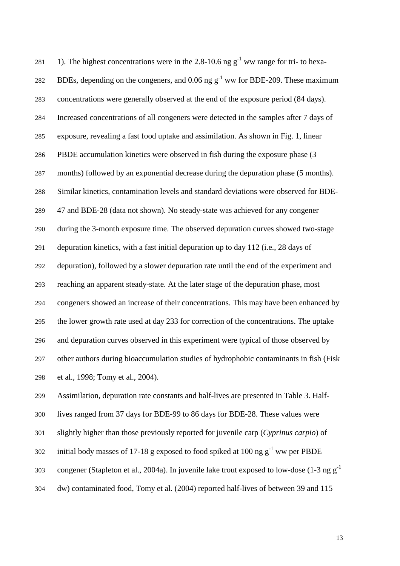281 1). The highest concentrations were in the 2.8-10.6 ng  $g^{-1}$  ww range for tri- to hexa-282 BDEs, depending on the congeners, and 0.06 ng  $g^{-1}$  ww for BDE-209. These maximum concentrations were generally observed at the end of the exposure period (84 days). Increased concentrations of all congeners were detected in the samples after 7 days of exposure, revealing a fast food uptake and assimilation. As shown in Fig. 1, linear PBDE accumulation kinetics were observed in fish during the exposure phase (3 months) followed by an exponential decrease during the depuration phase (5 months). Similar kinetics, contamination levels and standard deviations were observed for BDE-47 and BDE-28 (data not shown). No steady-state was achieved for any congener during the 3-month exposure time. The observed depuration curves showed two-stage depuration kinetics, with a fast initial depuration up to day 112 (i.e., 28 days of depuration), followed by a slower depuration rate until the end of the experiment and reaching an apparent steady-state. At the later stage of the depuration phase, most congeners showed an increase of their concentrations. This may have been enhanced by the lower growth rate used at day 233 for correction of the concentrations. The uptake and depuration curves observed in this experiment were typical of those observed by other authors during bioaccumulation studies of hydrophobic contaminants in fish (Fisk et al., 1998; Tomy et al., 2004).

Assimilation, depuration rate constants and half-lives are presented in Table 3. Half-

lives ranged from 37 days for BDE-99 to 86 days for BDE-28. These values were

slightly higher than those previously reported for juvenile carp (*Cyprinus carpio*) of

initial body masses of 17-18 g exposed to food spiked at 100 ng  $g^{-1}$  ww per PBDE

congener (Stapleton et al., 2004a). In juvenile lake trout exposed to low-dose (1-3 ng  $g^{-1}$ )

dw) contaminated food, Tomy et al. (2004) reported half-lives of between 39 and 115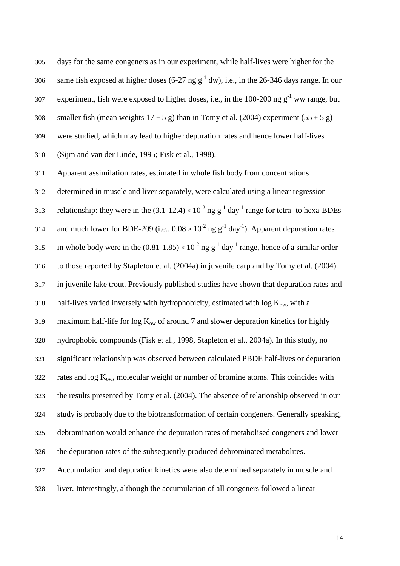days for the same congeners as in our experiment, while half-lives were higher for the same fish exposed at higher doses (6-27 ng  $g^{-1}$  dw), i.e., in the 26-346 days range. In our experiment, fish were exposed to higher doses, i.e., in the 100-200 ng  $g^{-1}$  ww range, but 308 smaller fish (mean weights  $17 \pm 5$  g) than in Tomy et al. (2004) experiment (55  $\pm 5$  g) were studied, which may lead to higher depuration rates and hence lower half-lives (Sijm and van der Linde, 1995; Fisk et al., 1998).

Apparent assimilation rates, estimated in whole fish body from concentrations determined in muscle and liver separately, were calculated using a linear regression 313 relationship: they were in the  $(3.1\n-12.4) \times 10^{-2}$  ng g<sup>-1</sup> day<sup>-1</sup> range for tetra- to hexa-BDEs 314 and much lower for BDE-209 (i.e.,  $0.08 \times 10^{-2}$  ng g<sup>-1</sup> day<sup>-1</sup>). Apparent depuration rates 315 in whole body were in the  $(0.81-1.85) \times 10^{-2}$  ng g<sup>-1</sup> day<sup>-1</sup> range, hence of a similar order to those reported by Stapleton et al. (2004a) in juvenile carp and by Tomy et al. (2004) in juvenile lake trout. Previously published studies have shown that depuration rates and 318 half-lives varied inversely with hydrophobicity, estimated with  $log K_{ow}$ , with a 319 maximum half-life for  $\log K_{ow}$  of around 7 and slower depuration kinetics for highly hydrophobic compounds (Fisk et al., 1998, Stapleton et al., 2004a). In this study, no significant relationship was observed between calculated PBDE half-lives or depuration 322 rates and  $log K_{ow}$ , molecular weight or number of bromine atoms. This coincides with the results presented by Tomy et al. (2004). The absence of relationship observed in our study is probably due to the biotransformation of certain congeners. Generally speaking, debromination would enhance the depuration rates of metabolised congeners and lower the depuration rates of the subsequently-produced debrominated metabolites. Accumulation and depuration kinetics were also determined separately in muscle and

liver. Interestingly, although the accumulation of all congeners followed a linear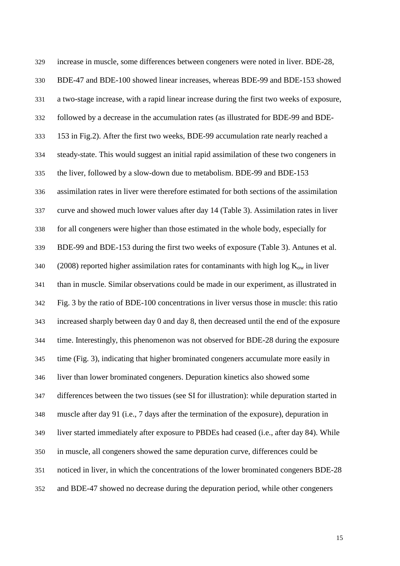increase in muscle, some differences between congeners were noted in liver. BDE-28, BDE-47 and BDE-100 showed linear increases, whereas BDE-99 and BDE-153 showed a two-stage increase, with a rapid linear increase during the first two weeks of exposure, followed by a decrease in the accumulation rates (as illustrated for BDE-99 and BDE-153 in Fig.2). After the first two weeks, BDE-99 accumulation rate nearly reached a steady-state. This would suggest an initial rapid assimilation of these two congeners in the liver, followed by a slow-down due to metabolism. BDE-99 and BDE-153 assimilation rates in liver were therefore estimated for both sections of the assimilation curve and showed much lower values after day 14 (Table 3). Assimilation rates in liver for all congeners were higher than those estimated in the whole body, especially for BDE-99 and BDE-153 during the first two weeks of exposure (Table 3). Antunes et al. 340 (2008) reported higher assimilation rates for contaminants with high log  $K_{ow}$  in liver than in muscle. Similar observations could be made in our experiment, as illustrated in Fig. 3 by the ratio of BDE-100 concentrations in liver versus those in muscle: this ratio increased sharply between day 0 and day 8, then decreased until the end of the exposure time. Interestingly, this phenomenon was not observed for BDE-28 during the exposure time (Fig. 3), indicating that higher brominated congeners accumulate more easily in liver than lower brominated congeners. Depuration kinetics also showed some differences between the two tissues (see SI for illustration): while depuration started in muscle after day 91 (i.e., 7 days after the termination of the exposure), depuration in liver started immediately after exposure to PBDEs had ceased (i.e., after day 84). While in muscle, all congeners showed the same depuration curve, differences could be noticed in liver, in which the concentrations of the lower brominated congeners BDE-28 and BDE-47 showed no decrease during the depuration period, while other congeners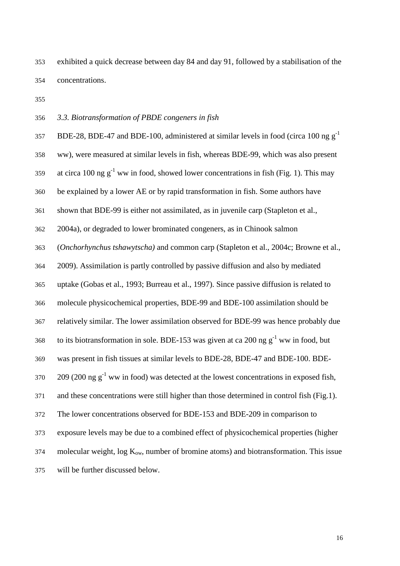exhibited a quick decrease between day 84 and day 91, followed by a stabilisation of the concentrations.

### *3.3. Biotransformation of PBDE congeners in fish*

BDE-28, BDE-47 and BDE-100, administered at similar levels in food (circa 100 ng  $g^{-1}$ ww), were measured at similar levels in fish, whereas BDE-99, which was also present 359 at circa 100 ng  $g^{-1}$  ww in food, showed lower concentrations in fish (Fig. 1). This may be explained by a lower AE or by rapid transformation in fish. Some authors have shown that BDE-99 is either not assimilated, as in juvenile carp (Stapleton et al., 2004a), or degraded to lower brominated congeners, as in Chinook salmon (*Onchorhynchus tshawytscha)* and common carp (Stapleton et al., 2004c; Browne et al., 2009). Assimilation is partly controlled by passive diffusion and also by mediated uptake (Gobas et al., 1993; Burreau et al., 1997). Since passive diffusion is related to molecule physicochemical properties, BDE-99 and BDE-100 assimilation should be relatively similar. The lower assimilation observed for BDE-99 was hence probably due to its biotransformation in sole. BDE-153 was given at ca 200 ng  $g^{-1}$  ww in food, but was present in fish tissues at similar levels to BDE-28, BDE-47 and BDE-100. BDE- (200 ng g<sup>-1</sup> ww in food) was detected at the lowest concentrations in exposed fish, and these concentrations were still higher than those determined in control fish (Fig.1). The lower concentrations observed for BDE-153 and BDE-209 in comparison to exposure levels may be due to a combined effect of physicochemical properties (higher molecular weight, log  $K_{ow}$ , number of bromine atoms) and biotransformation. This issue will be further discussed below.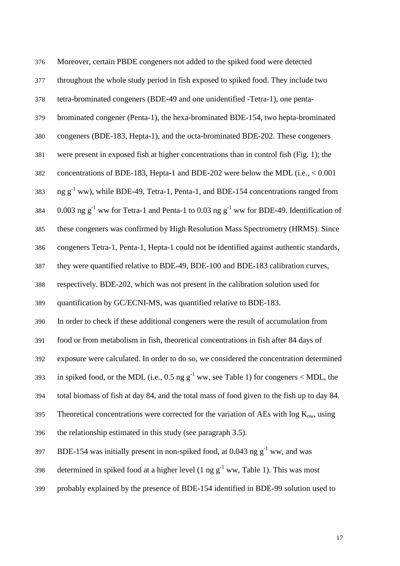| 376 | Moreover, certain PBDE congeners not added to the spiked food were detected                       |
|-----|---------------------------------------------------------------------------------------------------|
| 377 | throughout the whole study period in fish exposed to spiked food. They include two                |
| 378 | tetra-brominated congeners (BDE-49 and one unidentified -Tetra-1), one penta-                     |
| 379 | brominated congener (Penta-1), the hexa-brominated BDE-154, two hepta-brominated                  |
| 380 | congeners (BDE-183, Hepta-1), and the octa-brominated BDE-202. These congeners                    |
| 381 | were present in exposed fish at higher concentrations than in control fish (Fig. 1); the          |
| 382 | concentrations of BDE-183, Hepta-1 and BDE-202 were below the MDL (i.e., < 0.001                  |
| 383 | ng g <sup>-1</sup> ww), while BDE-49, Tetra-1, Penta-1, and BDE-154 concentrations ranged from    |
| 384 | 0.003 ng $g^{-1}$ ww for Tetra-1 and Penta-1 to 0.03 ng $g^{-1}$ ww for BDE-49. Identification of |
| 385 | these congeners was confirmed by High Resolution Mass Spectrometry (HRMS). Since                  |
| 386 | congeners Tetra-1, Penta-1, Hepta-1 could not be identified against authentic standards,          |
| 387 | they were quantified relative to BDE-49, BDE-100 and BDE-183 calibration curves,                  |
| 388 | respectively. BDE-202, which was not present in the calibration solution used for                 |
| 389 | quantification by GC/ECNI-MS, was quantified relative to BDE-183.                                 |
| 390 | In order to check if these additional congeners were the result of accumulation from              |
| 391 | food or from metabolism in fish, theoretical concentrations in fish after 84 days of              |
| 392 | exposure were calculated. In order to do so, we considered the concentration determined           |
| 393 | in spiked food, or the MDL (i.e., 0.5 ng $g^{-1}$ ww, see Table 1) for congeners < MDL, the       |
| 394 | total biomass of fish at day 84, and the total mass of food given to the fish up to day 84.       |
| 395 | Theoretical concentrations were corrected for the variation of AEs with $log Kow$ , using         |
| 396 | the relationship estimated in this study (see paragraph 3.5).                                     |
| 397 | BDE-154 was initially present in non-spiked food, at 0.043 ng $g^{-1}$ ww, and was                |
| 398 | determined in spiked food at a higher level (1 ng $g^{-1}$ ww, Table 1). This was most            |
|     |                                                                                                   |

probably explained by the presence of BDE-154 identified in BDE-99 solution used to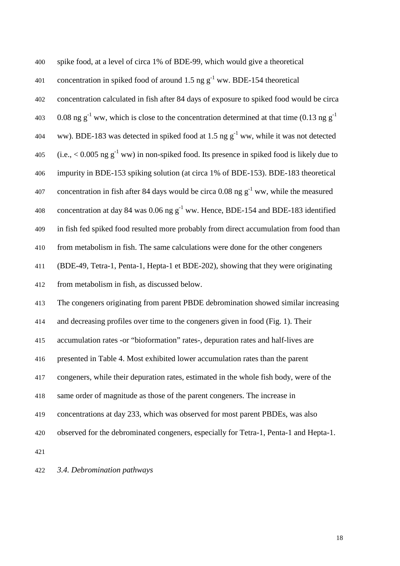spike food, at a level of circa 1% of BDE-99, which would give a theoretical 401 concentration in spiked food of around 1.5 ng  $g^{-1}$  ww. BDE-154 theoretical concentration calculated in fish after 84 days of exposure to spiked food would be circa 403 0.08 ng g<sup>-1</sup> ww, which is close to the concentration determined at that time (0.13 ng g<sup>-1</sup> 404 ww). BDE-183 was detected in spiked food at 1.5 ng  $g^{-1}$  ww, while it was not detected 405 (i.e.,  $\leq 0.005$  ng g<sup>-1</sup> ww) in non-spiked food. Its presence in spiked food is likely due to impurity in BDE-153 spiking solution (at circa 1% of BDE-153). BDE-183 theoretical 407 concentration in fish after 84 days would be circa 0.08 ng  $g^{-1}$  ww, while the measured 408 concentration at day 84 was 0.06 ng  $g^{-1}$  ww. Hence, BDE-154 and BDE-183 identified in fish fed spiked food resulted more probably from direct accumulation from food than from metabolism in fish. The same calculations were done for the other congeners (BDE-49, Tetra-1, Penta-1, Hepta-1 et BDE-202), showing that they were originating from metabolism in fish, as discussed below. The congeners originating from parent PBDE debromination showed similar increasing and decreasing profiles over time to the congeners given in food (Fig. 1). Their accumulation rates -or "bioformation" rates-, depuration rates and half-lives are presented in Table 4. Most exhibited lower accumulation rates than the parent congeners, while their depuration rates, estimated in the whole fish body, were of the same order of magnitude as those of the parent congeners. The increase in concentrations at day 233, which was observed for most parent PBDEs, was also observed for the debrominated congeners, especially for Tetra-1, Penta-1 and Hepta-1. *3.4. Debromination pathways*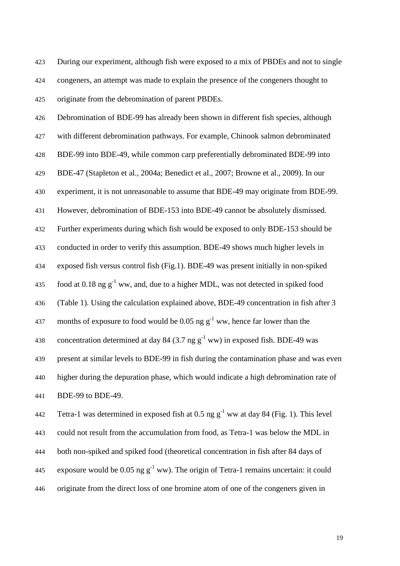During our experiment, although fish were exposed to a mix of PBDEs and not to single congeners, an attempt was made to explain the presence of the congeners thought to originate from the debromination of parent PBDEs.

Debromination of BDE-99 has already been shown in different fish species, although with different debromination pathways. For example, Chinook salmon debrominated BDE-99 into BDE-49, while common carp preferentially debrominated BDE-99 into

BDE-47 (Stapleton et al., 2004a; Benedict et al., 2007; Browne et al., 2009). In our

experiment, it is not unreasonable to assume that BDE-49 may originate from BDE-99.

However, debromination of BDE-153 into BDE-49 cannot be absolutely dismissed.

Further experiments during which fish would be exposed to only BDE-153 should be

conducted in order to verify this assumption. BDE-49 shows much higher levels in

exposed fish versus control fish (Fig.1). BDE-49 was present initially in non-spiked

435 food at 0.18 ng  $g^{-1}$  ww, and, due to a higher MDL, was not detected in spiked food

(Table 1). Using the calculation explained above, BDE-49 concentration in fish after 3

437 months of exposure to food would be 0.05 ng  $g^{-1}$  ww, hence far lower than the

438 concentration determined at day 84 (3.7 ng  $g^{-1}$  ww) in exposed fish. BDE-49 was

present at similar levels to BDE-99 in fish during the contamination phase and was even

higher during the depuration phase, which would indicate a high debromination rate of BDE-99 to BDE-49.

442 Tetra-1 was determined in exposed fish at 0.5 ng  $g^{-1}$  ww at day 84 (Fig. 1). This level could not result from the accumulation from food, as Tetra-1 was below the MDL in both non-spiked and spiked food (theoretical concentration in fish after 84 days of exposure would be 0.05 ng  $g^{-1}$  ww). The origin of Tetra-1 remains uncertain: it could originate from the direct loss of one bromine atom of one of the congeners given in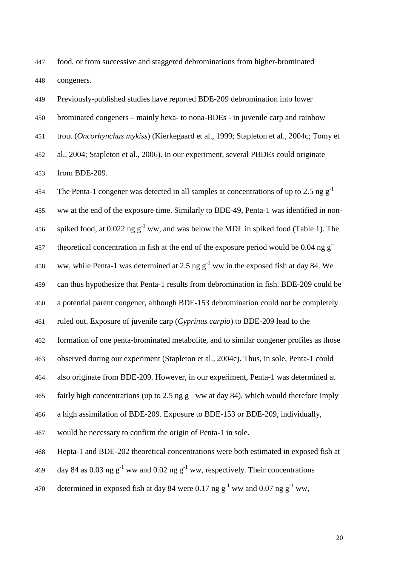food, or from successive and staggered debrominations from higher-brominated congeners.

Previously-published studies have reported BDE-209 debromination into lower

brominated congeners – mainly hexa- to nona-BDEs - in juvenile carp and rainbow

trout (*Oncorhynchus mykiss*) (Kierkegaard et al., 1999; Stapleton et al., 2004c; Tomy et

al., 2004; Stapleton et al., 2006). In our experiment, several PBDEs could originate

from BDE-209.

454 The Penta-1 congener was detected in all samples at concentrations of up to 2.5 ng  $g^{-1}$ ww at the end of the exposure time. Similarly to BDE-49, Penta-1 was identified in non-456 spiked food, at 0.022 ng  $g^{-1}$  ww, and was below the MDL in spiked food (Table 1). The theoretical concentration in fish at the end of the exposure period would be 0.04 ng  $g^{-1}$ 458 ww, while Penta-1 was determined at 2.5 ng  $g^{-1}$  ww in the exposed fish at day 84. We can thus hypothesize that Penta-1 results from debromination in fish. BDE-209 could be a potential parent congener, although BDE-153 debromination could not be completely ruled out. Exposure of juvenile carp (*Cyprinus carpio*) to BDE-209 lead to the formation of one penta-brominated metabolite, and to similar congener profiles as those observed during our experiment (Stapleton et al., 2004c). Thus, in sole, Penta-1 could also originate from BDE-209. However, in our experiment, Penta-1 was determined at fairly high concentrations (up to 2.5 ng  $g^{-1}$  ww at day 84), which would therefore imply a high assimilation of BDE-209. Exposure to BDE-153 or BDE-209, individually, would be necessary to confirm the origin of Penta-1 in sole. Hepta-1 and BDE-202 theoretical concentrations were both estimated in exposed fish at 469 day 84 as 0.03 ng  $g^{-1}$  ww and 0.02 ng  $g^{-1}$  ww, respectively. Their concentrations

470 determined in exposed fish at day 84 were 0.17 ng  $g^{-1}$  ww and 0.07 ng  $g^{-1}$  ww,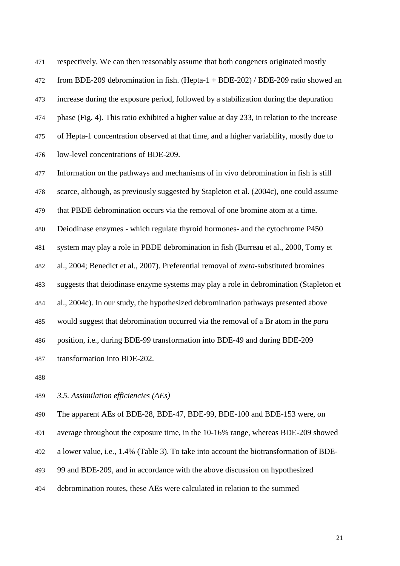respectively. We can then reasonably assume that both congeners originated mostly from BDE-209 debromination in fish. (Hepta-1 + BDE-202) / BDE-209 ratio showed an increase during the exposure period, followed by a stabilization during the depuration phase (Fig. 4). This ratio exhibited a higher value at day 233, in relation to the increase of Hepta-1 concentration observed at that time, and a higher variability, mostly due to low-level concentrations of BDE-209.

Information on the pathways and mechanisms of in vivo debromination in fish is still

scarce, although, as previously suggested by Stapleton et al. (2004c), one could assume

that PBDE debromination occurs via the removal of one bromine atom at a time.

Deiodinase enzymes - which regulate thyroid hormones- and the cytochrome P450

system may play a role in PBDE debromination in fish (Burreau et al., 2000, Tomy et

al., 2004; Benedict et al., 2007). Preferential removal of *meta*-substituted bromines

suggests that deiodinase enzyme systems may play a role in debromination (Stapleton et

al., 2004c). In our study, the hypothesized debromination pathways presented above

would suggest that debromination occurred via the removal of a Br atom in the *para*

position, i.e., during BDE-99 transformation into BDE-49 and during BDE-209

transformation into BDE-202.

*3.5. Assimilation efficiencies (AEs)* 

The apparent AEs of BDE-28, BDE-47, BDE-99, BDE-100 and BDE-153 were, on

average throughout the exposure time, in the 10-16% range, whereas BDE-209 showed

a lower value, i.e., 1.4% (Table 3). To take into account the biotransformation of BDE-

99 and BDE-209, and in accordance with the above discussion on hypothesized

debromination routes, these AEs were calculated in relation to the summed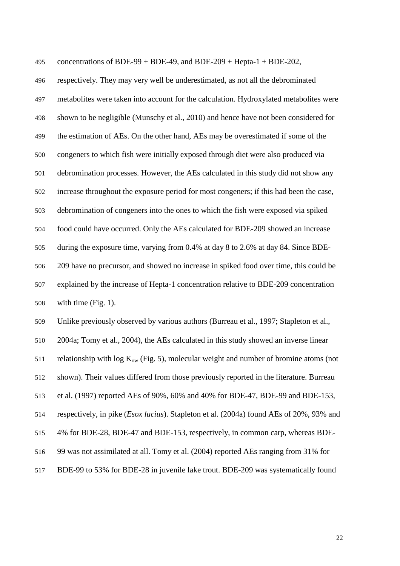495 concentrations of BDE-99 + BDE-49, and BDE-209 + Hepta-1 + BDE-202, respectively. They may very well be underestimated, as not all the debrominated metabolites were taken into account for the calculation. Hydroxylated metabolites were shown to be negligible (Munschy et al., 2010) and hence have not been considered for the estimation of AEs. On the other hand, AEs may be overestimated if some of the congeners to which fish were initially exposed through diet were also produced via debromination processes. However, the AEs calculated in this study did not show any increase throughout the exposure period for most congeners; if this had been the case, debromination of congeners into the ones to which the fish were exposed via spiked food could have occurred. Only the AEs calculated for BDE-209 showed an increase during the exposure time, varying from 0.4% at day 8 to 2.6% at day 84. Since BDE-209 have no precursor, and showed no increase in spiked food over time, this could be explained by the increase of Hepta-1 concentration relative to BDE-209 concentration with time (Fig. 1).

Unlike previously observed by various authors (Burreau et al., 1997; Stapleton et al., 2004a; Tomy et al., 2004), the AEs calculated in this study showed an inverse linear 511 relationship with  $log K_{ow}$  (Fig. 5), molecular weight and number of bromine atoms (not shown). Their values differed from those previously reported in the literature. Burreau et al. (1997) reported AEs of 90%, 60% and 40% for BDE-47, BDE-99 and BDE-153, respectively, in pike (*Esox lucius*). Stapleton et al. (2004a) found AEs of 20%, 93% and 4% for BDE-28, BDE-47 and BDE-153, respectively, in common carp, whereas BDE-99 was not assimilated at all. Tomy et al. (2004) reported AEs ranging from 31% for BDE-99 to 53% for BDE-28 in juvenile lake trout. BDE-209 was systematically found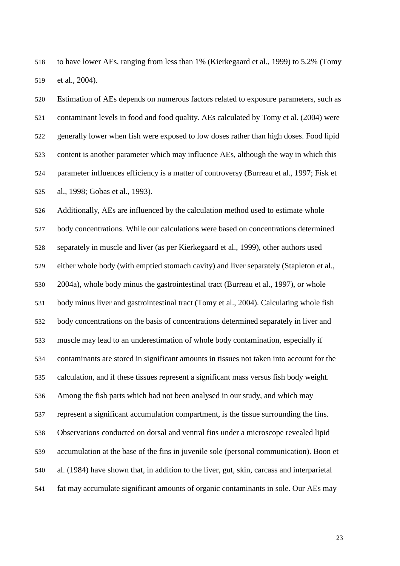to have lower AEs, ranging from less than 1% (Kierkegaard et al., 1999) to 5.2% (Tomy et al., 2004).

Estimation of AEs depends on numerous factors related to exposure parameters, such as contaminant levels in food and food quality. AEs calculated by Tomy et al. (2004) were generally lower when fish were exposed to low doses rather than high doses. Food lipid content is another parameter which may influence AEs, although the way in which this parameter influences efficiency is a matter of controversy (Burreau et al., 1997; Fisk et al., 1998; Gobas et al., 1993).

Additionally, AEs are influenced by the calculation method used to estimate whole body concentrations. While our calculations were based on concentrations determined separately in muscle and liver (as per Kierkegaard et al., 1999), other authors used either whole body (with emptied stomach cavity) and liver separately (Stapleton et al., 2004a), whole body minus the gastrointestinal tract (Burreau et al., 1997), or whole body minus liver and gastrointestinal tract (Tomy et al., 2004). Calculating whole fish body concentrations on the basis of concentrations determined separately in liver and muscle may lead to an underestimation of whole body contamination, especially if contaminants are stored in significant amounts in tissues not taken into account for the calculation, and if these tissues represent a significant mass versus fish body weight. Among the fish parts which had not been analysed in our study, and which may represent a significant accumulation compartment, is the tissue surrounding the fins. Observations conducted on dorsal and ventral fins under a microscope revealed lipid accumulation at the base of the fins in juvenile sole (personal communication). Boon et al. (1984) have shown that, in addition to the liver, gut, skin, carcass and interparietal fat may accumulate significant amounts of organic contaminants in sole. Our AEs may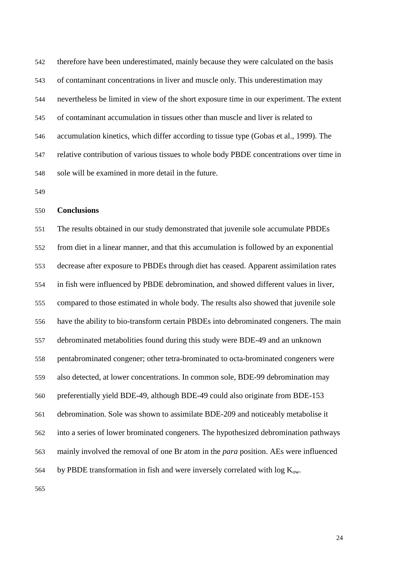therefore have been underestimated, mainly because they were calculated on the basis of contaminant concentrations in liver and muscle only. This underestimation may nevertheless be limited in view of the short exposure time in our experiment. The extent of contaminant accumulation in tissues other than muscle and liver is related to accumulation kinetics, which differ according to tissue type (Gobas et al., 1999). The relative contribution of various tissues to whole body PBDE concentrations over time in sole will be examined in more detail in the future.

#### **Conclusions**

The results obtained in our study demonstrated that juvenile sole accumulate PBDEs from diet in a linear manner, and that this accumulation is followed by an exponential decrease after exposure to PBDEs through diet has ceased. Apparent assimilation rates in fish were influenced by PBDE debromination, and showed different values in liver, compared to those estimated in whole body. The results also showed that juvenile sole have the ability to bio-transform certain PBDEs into debrominated congeners. The main debrominated metabolities found during this study were BDE-49 and an unknown pentabrominated congener; other tetra-brominated to octa-brominated congeners were also detected, at lower concentrations. In common sole, BDE-99 debromination may preferentially yield BDE-49, although BDE-49 could also originate from BDE-153 debromination. Sole was shown to assimilate BDE-209 and noticeably metabolise it into a series of lower brominated congeners. The hypothesized debromination pathways mainly involved the removal of one Br atom in the *para* position. AEs were influenced 564 by PBDE transformation in fish and were inversely correlated with log  $K_{ow}$ .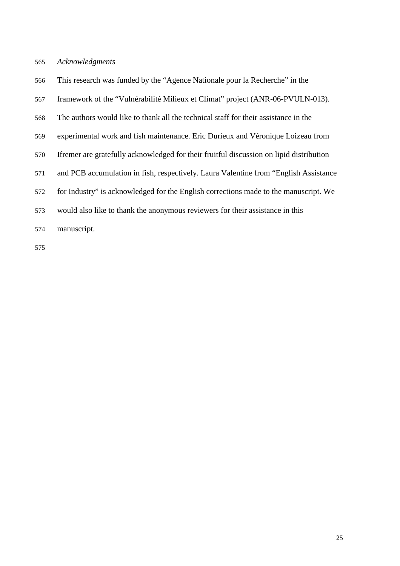#### *Acknowledgments*

- This research was funded by the "Agence Nationale pour la Recherche" in the
- framework of the "Vulnérabilité Milieux et Climat" project (ANR-06-PVULN-013).
- The authors would like to thank all the technical staff for their assistance in the
- experimental work and fish maintenance. Eric Durieux and Véronique Loizeau from
- Ifremer are gratefully acknowledged for their fruitful discussion on lipid distribution
- and PCB accumulation in fish, respectively. Laura Valentine from "English Assistance
- for Industry" is acknowledged for the English corrections made to the manuscript. We
- would also like to thank the anonymous reviewers for their assistance in this
- manuscript.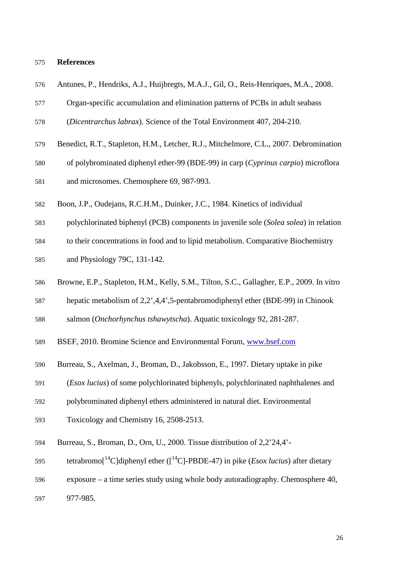#### **References**

| 576 | Antunes, P., Hendriks, A.J., Huijbregts, M.A.J., Gil, O., Reis-Henriques, M.A., 2008.  |
|-----|----------------------------------------------------------------------------------------|
| 577 | Organ-specific accumulation and elimination patterns of PCBs in adult seabass          |
| 578 | (Dicentrarchus labrax). Science of the Total Environment 407, 204-210.                 |
| 579 | Benedict, R.T., Stapleton, H.M., Letcher, R.J., Mitchelmore, C.L., 2007. Debromination |
| 580 | of polybrominated diphenyl ether-99 (BDE-99) in carp (Cyprinus carpio) microflora      |
| 581 | and microsomes. Chemosphere 69, 987-993.                                               |

- Boon, J.P., Oudejans, R.C.H.M., Duinker, J.C., 1984. Kinetics of individual
- polychlorinated biphenyl (PCB) components in juvenile sole (*Solea solea*) in relation
- to their concentrations in food and to lipid metabolism. Comparative Biochemistry
- and Physiology 79C, 131-142.
- Browne, E.P., Stapleton, H.M., Kelly, S.M., Tilton, S.C., Gallagher, E.P., 2009. In vitro
- hepatic metabolism of 2,2',4,4',5-pentabromodiphenyl ether (BDE-99) in Chinook
- salmon (*Onchorhynchus tshawytscha*). Aquatic toxicology 92, 281-287.
- BSEF, 2010. Bromine Science and Environmental Forum, www.bsef.com
- Burreau, S., Axelman, J., Broman, D., Jakobsson, E., 1997. Dietary uptake in pike
- (*Esox lucius*) of some polychlorinated biphenyls, polychlorinated naphthalenes and
- polybrominated diphenyl ethers administered in natural diet. Environmental
- Toxicology and Chemistry 16, 2508-2513.
- Burreau, S., Broman, D., Orn, U., 2000. Tissue distribution of 2,2'24,4'-
- tetrabromo<sup>[14</sup>C]diphenyl ether ( $\left[ {}^{14}C \right]$ -PBDE-47) in pike (*Esox lucius*) after dietary
- exposure a time series study using whole body autoradiography. Chemosphere 40,
- 977-985.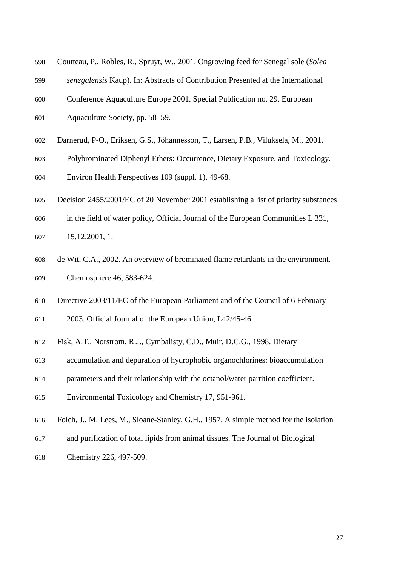| 598 | Coutteau, P., Robles, R., Spruyt, W., 2001. Ongrowing feed for Senegal sole (Solea   |
|-----|--------------------------------------------------------------------------------------|
| 599 | senegalensis Kaup). In: Abstracts of Contribution Presented at the International     |
| 600 | Conference Aquaculture Europe 2001. Special Publication no. 29. European             |
| 601 | Aquaculture Society, pp. 58-59.                                                      |
| 602 | Darnerud, P-O., Eriksen, G.S., Jóhannesson, T., Larsen, P.B., Viluksela, M., 2001.   |
| 603 | Polybrominated Diphenyl Ethers: Occurrence, Dietary Exposure, and Toxicology.        |
| 604 | Environ Health Perspectives 109 (suppl. 1), 49-68.                                   |
| 605 | Decision 2455/2001/EC of 20 November 2001 establishing a list of priority substances |
| 606 | in the field of water policy, Official Journal of the European Communities L 331,    |
| 607 | 15.12.2001, 1.                                                                       |
| 608 | de Wit, C.A., 2002. An overview of brominated flame retardants in the environment.   |
| 609 | Chemosphere 46, 583-624.                                                             |
| 610 | Directive 2003/11/EC of the European Parliament and of the Council of 6 February     |
| 611 | 2003. Official Journal of the European Union, L42/45-46.                             |
| 612 | Fisk, A.T., Norstrom, R.J., Cymbalisty, C.D., Muir, D.C.G., 1998. Dietary            |

- 
- accumulation and depuration of hydrophobic organochlorines: bioaccumulation
- parameters and their relationship with the octanol/water partition coefficient.
- Environmental Toxicology and Chemistry 17, 951-961.
- Folch, J., M. Lees, M., Sloane-Stanley, G.H., 1957. A simple method for the isolation
- and purification of total lipids from animal tissues. The Journal of Biological
- Chemistry 226, 497-509.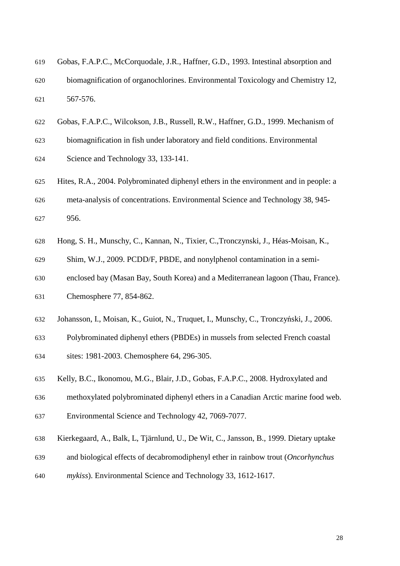| 619 | Gobas, F.A.P.C., McCorquodale, J.R., Haffner, G.D., 1993. Intestinal absorption and |
|-----|-------------------------------------------------------------------------------------|
| 620 | biomagnification of organochlorines. Environmental Toxicology and Chemistry 12,     |
| 621 | 567-576.                                                                            |

- Gobas, F.A.P.C., Wilcokson, J.B., Russell, R.W., Haffner, G.D., 1999. Mechanism of
- biomagnification in fish under laboratory and field conditions. Environmental
- Science and Technology 33, 133-141.
- Hites, R.A., 2004. Polybrominated diphenyl ethers in the environment and in people: a meta-analysis of concentrations. Environmental Science and Technology 38, 945- 956.
- Hong, S. H., Munschy, C., Kannan, N., Tixier, C.,Tronczynski, J., Héas-Moisan, K.,
- Shim, W.J., 2009. PCDD/F, PBDE, and nonylphenol contamination in a semi-
- enclosed bay (Masan Bay, South Korea) and a Mediterranean lagoon (Thau, France).
- Chemosphere 77, 854-862.
- 632 Johansson, I., Moisan, K., Guiot, N., Truquet, I., Munschy, C., Tronczyński, J., 2006.
- Polybrominated diphenyl ethers (PBDEs) in mussels from selected French coastal
- sites: 1981-2003. Chemosphere 64, 296-305.
- Kelly, B.C., Ikonomou, M.G., Blair, J.D., Gobas, F.A.P.C., 2008. Hydroxylated and
- methoxylated polybrominated diphenyl ethers in a Canadian Arctic marine food web.
- Environmental Science and Technology 42, 7069-7077.
- Kierkegaard, A., Balk, L, Tjärnlund, U., De Wit, C., Jansson, B., 1999. Dietary uptake
- and biological effects of decabromodiphenyl ether in rainbow trout (*Oncorhynchus*
- *mykiss*). Environmental Science and Technology 33, 1612-1617.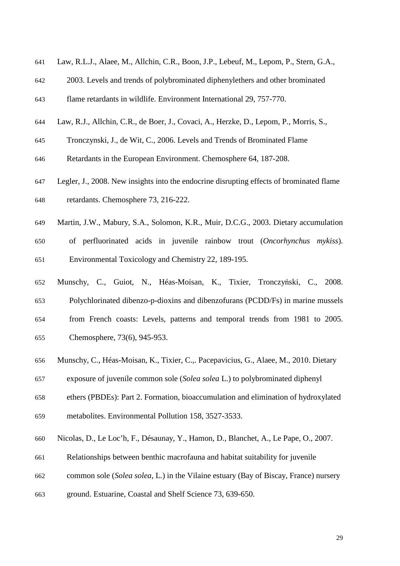- Law, R.L.J., Alaee, M., Allchin, C.R., Boon, J.P., Lebeuf, M., Lepom, P., Stern, G.A.,
- 2003. Levels and trends of polybrominated diphenylethers and other brominated
- flame retardants in wildlife. Environment International 29, 757-770.
- Law, R.J., Allchin, C.R., de Boer, J., Covaci, A., Herzke, D., Lepom, P., Morris, S.,
- Tronczynski, J., de Wit, C., 2006. Levels and Trends of Brominated Flame
- Retardants in the European Environment. Chemosphere 64, 187-208.
- Legler, J., 2008. New insights into the endocrine disrupting effects of brominated flame retardants. Chemosphere 73, 216-222.
- Martin, J.W., Mabury, S.A., Solomon, K.R., Muir, D.C.G., 2003. Dietary accumulation
- of perfluorinated acids in juvenile rainbow trout (*Oncorhynchus mykiss*). Environmental Toxicology and Chemistry 22, 189-195.
- Munschy, C., Guiot, N., Héas-Moisan, K., Tixier, Tronczyński, C., 2008. Polychlorinated dibenzo-p-dioxins and dibenzofurans (PCDD/Fs) in marine mussels from French coasts: Levels, patterns and temporal trends from 1981 to 2005. Chemosphere, 73(6), 945-953.
- Munschy, C., Héas-Moisan, K., Tixier, C.,. Pacepavicius, G., Alaee, M., 2010. Dietary
- exposure of juvenile common sole (*Solea solea* L.) to polybrominated diphenyl
- ethers (PBDEs): Part 2. Formation, bioaccumulation and elimination of hydroxylated
- metabolites. Environmental Pollution 158, 3527-3533.
- Nicolas, D., Le Loc'h, F., Désaunay, Y., Hamon, D., Blanchet, A., Le Pape, O., 2007.
- Relationships between benthic macrofauna and habitat suitability for juvenile
- common sole (*Solea solea*, L.) in the Vilaine estuary (Bay of Biscay, France) nursery
- ground. Estuarine, Coastal and Shelf Science 73, 639-650.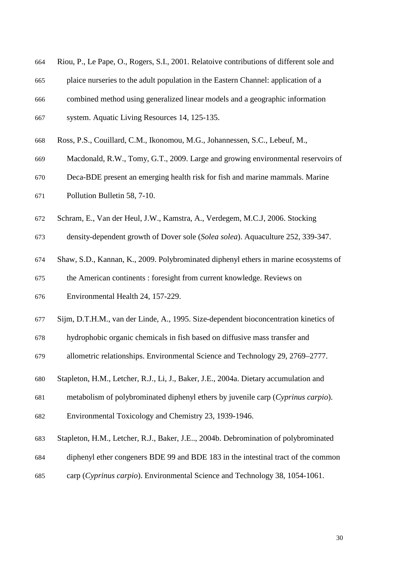- Riou, P., Le Pape, O., Rogers, S.I., 2001. Relatoive contributions of different sole and
- plaice nurseries to the adult population in the Eastern Channel: application of a
- combined method using generalized linear models and a geographic information
- system. Aquatic Living Resources 14, 125-135.
- Ross, P.S., Couillard, C.M., Ikonomou, M.G., Johannessen, S.C., Lebeuf, M.,
- Macdonald, R.W., Tomy, G.T., 2009. Large and growing environmental reservoirs of
- Deca-BDE present an emerging health risk for fish and marine mammals. Marine
- Pollution Bulletin 58, 7-10.
- Schram, E., Van der Heul, J.W., Kamstra, A., Verdegem, M.C.J, 2006. Stocking
- density-dependent growth of Dover sole (*Solea solea*). Aquaculture 252, 339-347.
- Shaw, S.D., Kannan, K., 2009. Polybrominated diphenyl ethers in marine ecosystems of
- the American continents : foresight from current knowledge. Reviews on
- Environmental Health 24, 157-229.
- Sijm, D.T.H.M., van der Linde, A., 1995. Size-dependent bioconcentration kinetics of
- hydrophobic organic chemicals in fish based on diffusive mass transfer and
- allometric relationships. Environmental Science and Technology 29, 2769–2777.
- Stapleton, H.M., Letcher, R.J., Li, J., Baker, J.E., 2004a. Dietary accumulation and
- metabolism of polybrominated diphenyl ethers by juvenile carp (*Cyprinus carpio*).
- Environmental Toxicology and Chemistry 23, 1939-1946.
- Stapleton, H.M., Letcher, R.J., Baker, J.E.., 2004b. Debromination of polybrominated
- diphenyl ether congeners BDE 99 and BDE 183 in the intestinal tract of the common
- carp (*Cyprinus carpio*). Environmental Science and Technology 38, 1054-1061.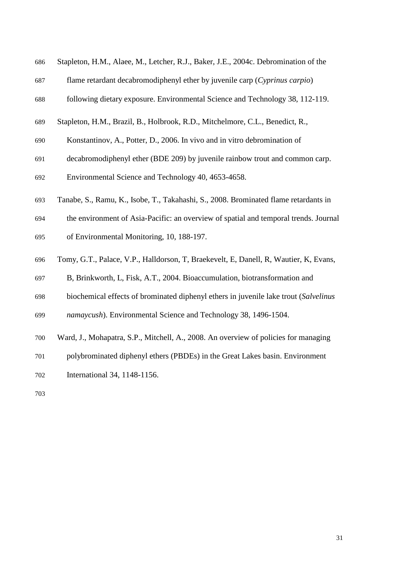| 686 | Stapleton, H.M., Alaee, M., Letcher, R.J., Baker, J.E., 2004c. Debromination of the   |
|-----|---------------------------------------------------------------------------------------|
| 687 | flame retardant decabromodiphenyl ether by juvenile carp (Cyprinus carpio)            |
| 688 | following dietary exposure. Environmental Science and Technology 38, 112-119.         |
| 689 | Stapleton, H.M., Brazil, B., Holbrook, R.D., Mitchelmore, C.L., Benedict, R.,         |
| 690 | Konstantinov, A., Potter, D., 2006. In vivo and in vitro debromination of             |
| 691 | decabromodiphenyl ether (BDE 209) by juvenile rainbow trout and common carp.          |
| 692 | Environmental Science and Technology 40, 4653-4658.                                   |
| 693 | Tanabe, S., Ramu, K., Isobe, T., Takahashi, S., 2008. Brominated flame retardants in  |
| 694 | the environment of Asia-Pacific: an overview of spatial and temporal trends. Journal  |
| 695 | of Environmental Monitoring, 10, 188-197.                                             |
| 696 | Tomy, G.T., Palace, V.P., Halldorson, T. Braekevelt, E. Danell, R. Wautier, K. Evans, |
| 697 | B, Brinkworth, L, Fisk, A.T., 2004. Bioaccumulation, biotransformation and            |
| 698 | biochemical effects of brominated diphenyl ethers in juvenile lake trout (Salvelinus  |
| 699 | namaycush). Environmental Science and Technology 38, 1496-1504.                       |
| 700 | Ward, J., Mohapatra, S.P., Mitchell, A., 2008. An overview of policies for managing   |
| 701 | polybrominated diphenyl ethers (PBDEs) in the Great Lakes basin. Environment          |
| 702 | International 34, 1148-1156.                                                          |
| 703 |                                                                                       |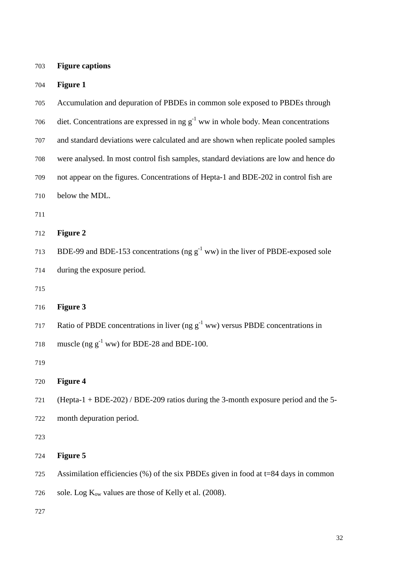| 703 | <b>Figure captions</b> |
|-----|------------------------|
|     |                        |

| 704 | <b>Figure 1</b>                                                                         |  |  |  |
|-----|-----------------------------------------------------------------------------------------|--|--|--|
| 705 | Accumulation and depuration of PBDEs in common sole exposed to PBDEs through            |  |  |  |
| 706 | diet. Concentrations are expressed in ng $g^{-1}$ ww in whole body. Mean concentrations |  |  |  |
| 707 | and standard deviations were calculated and are shown when replicate pooled samples     |  |  |  |
| 708 | were analysed. In most control fish samples, standard deviations are low and hence do   |  |  |  |
| 709 | not appear on the figures. Concentrations of Hepta-1 and BDE-202 in control fish are    |  |  |  |
| 710 | below the MDL.                                                                          |  |  |  |
| 711 |                                                                                         |  |  |  |
| 712 | <b>Figure 2</b>                                                                         |  |  |  |
| 713 | BDE-99 and BDE-153 concentrations (ng $g^{-1}$ ww) in the liver of PBDE-exposed sole    |  |  |  |
| 714 | during the exposure period.                                                             |  |  |  |
| 715 |                                                                                         |  |  |  |
| 716 | <b>Figure 3</b>                                                                         |  |  |  |
| 717 | Ratio of PBDE concentrations in liver (ng $g^{-1}$ ww) versus PBDE concentrations in    |  |  |  |
| 718 | muscle (ng $g^{-1}$ ww) for BDE-28 and BDE-100.                                         |  |  |  |
| 719 |                                                                                         |  |  |  |
| 720 | <b>Figure 4</b>                                                                         |  |  |  |
| 721 | (Hepta-1 + BDE-202) / BDE-209 ratios during the 3-month exposure period and the 5-      |  |  |  |
| 722 | month depuration period.                                                                |  |  |  |
| 723 |                                                                                         |  |  |  |
| 724 | <b>Figure 5</b>                                                                         |  |  |  |
| 725 | Assimilation efficiencies $(\%)$ of the six PBDEs given in food at t=84 days in common  |  |  |  |
| 726 | sole. Log $K_{ow}$ values are those of Kelly et al. (2008).                             |  |  |  |
|     |                                                                                         |  |  |  |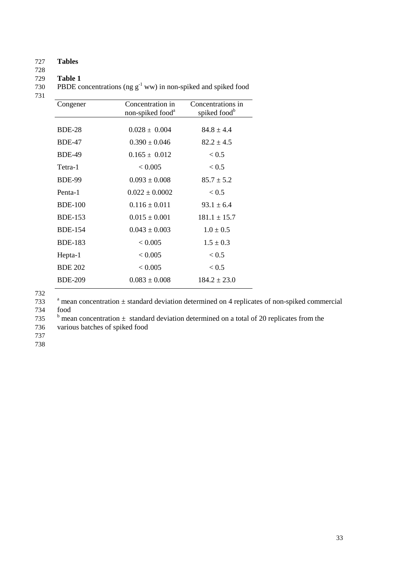### 727 **Tables**

# 728

729 **Table 1** PBDE concentrations (ng  $g^{-1}$  ww) in non-spiked and spiked food

731

| Congener       | Concentration in<br>non-spiked food <sup>a</sup> | Concentrations in<br>spiked food <sup>b</sup> |
|----------------|--------------------------------------------------|-----------------------------------------------|
|                |                                                  |                                               |
| <b>BDE-28</b>  | $0.028 \pm 0.004$                                | $84.8 \pm 4.4$                                |
| <b>BDE-47</b>  | $0.390 \pm 0.046$                                | $82.2 \pm 4.5$                                |
| <b>BDE-49</b>  | $0.165 \pm 0.012$                                | ${}_{< 0.5}$                                  |
| Tetra-1        | < 0.005                                          | < 0.5                                         |
| <b>BDE-99</b>  | $0.093 \pm 0.008$                                | $85.7 \pm 5.2$                                |
| Penta-1        | $0.022 \pm 0.0002$                               | < 0.5                                         |
| <b>BDE-100</b> | $0.116 \pm 0.011$                                | $93.1 \pm 6.4$                                |
| <b>BDE-153</b> | $0.015 \pm 0.001$                                | $181.1 \pm 15.7$                              |
| <b>BDE-154</b> | $0.043 \pm 0.003$                                | $1.0 \pm 0.5$                                 |
| <b>BDE-183</b> | < 0.005                                          | $1.5 \pm 0.3$                                 |
| Hepta-1        | < 0.005                                          | < 0.5                                         |
| <b>BDE 202</b> | < 0.005                                          | < 0.5                                         |
| <b>BDE-209</b> | $0.083 \pm 0.008$                                | $184.2 \pm 23.0$                              |
|                |                                                  |                                               |

732

 $733$  a mean concentration  $\pm$  standard deviation determined on 4 replicates of non-spiked commercial 734 food

735 b mean concentration  $\pm$  standard deviation determined on a total of 20 replicates from the

736 various batches of spiked food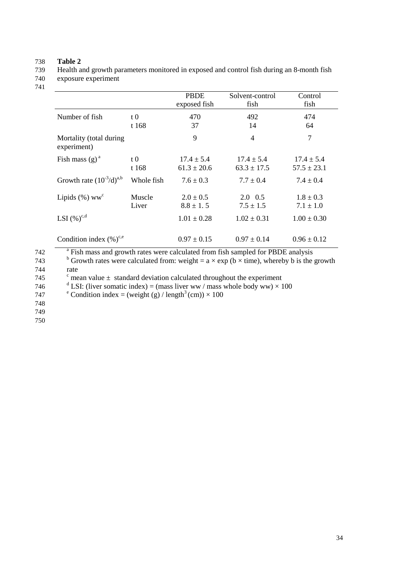738 **Table 2**  739 Health and growth parameters monitored in exposed and control fish during an 8-month fish

740 exposure experiment 741

|                                        |                 | <b>PBDE</b><br>exposed fish       | Solvent-control<br>fish           | Control<br>fish                   |
|----------------------------------------|-----------------|-----------------------------------|-----------------------------------|-----------------------------------|
| Number of fish                         | $t\,0$<br>t 168 | 470<br>37                         | 492<br>14                         | 474<br>64                         |
| Mortality (total during<br>experiment) |                 | 9                                 | $\overline{4}$                    | $\overline{7}$                    |
| Fish mass $(g)^a$                      | $t\,0$<br>t 168 | $17.4 \pm 5.4$<br>$61.3 \pm 20.6$ | $17.4 \pm 5.4$<br>$63.3 \pm 17.5$ | $17.4 \pm 5.4$<br>$57.5 \pm 23.1$ |
| Growth rate $(10^{-3}/d)^{a,b}$        | Whole fish      | $7.6 \pm 0.3$                     | $7.7 \pm 0.4$                     | $7.4 \pm 0.4$                     |
| Lipids $(\% )$ ww <sup>c</sup>         | Muscle<br>Liver | $2.0 \pm 0.5$<br>$8.8 \pm 1.5$    | $2.0 \quad 0.5$<br>$7.5 \pm 1.5$  | $1.8 \pm 0.3$<br>$7.1 \pm 1.0$    |
| LSI $(\%)^{c,d}$                       |                 | $1.01 \pm 0.28$                   | $1.02 \pm 0.31$                   | $1.00 \pm 0.30$                   |
| Condition index $(\% )^{c,e}$          |                 | $0.97 \pm 0.15$                   | $0.97 \pm 0.14$                   | $0.96 \pm 0.12$                   |

| 742 | <sup>a</sup> Fish mass and growth rates were calculated from fish sampled for PBDE analysis                              |
|-----|--------------------------------------------------------------------------------------------------------------------------|
| 743 | <sup>b</sup> Growth rates were calculated from: weight = $a \times \exp(b \times \text{time})$ , whereby b is the growth |
| 744 | rate                                                                                                                     |
| 745 | $\degree$ mean value $\pm$ standard deviation calculated throughout the experiment                                       |
| 746 | <sup>d</sup> LSI: (liver somatic index) = (mass liver ww / mass whole body ww) $\times$ 100                              |
| 747 | <sup>e</sup> Condition index = (weight (g) / length <sup>3</sup> (cm)) $\times$ 100                                      |
| 748 |                                                                                                                          |
| 749 |                                                                                                                          |
| 750 |                                                                                                                          |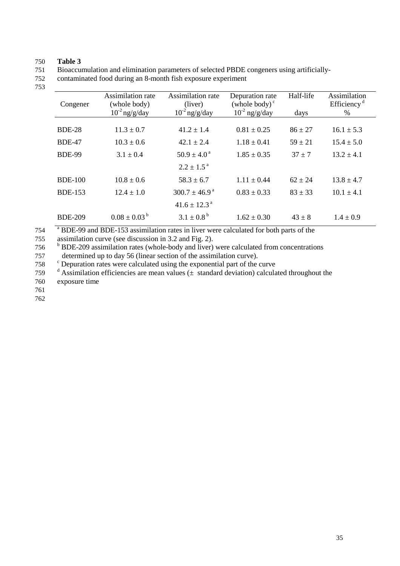#### 750 **Table 3**

751 Bioaccumulation and elimination parameters of selected PBDE congeners using artificially-

752 contaminated food during an 8-month fish exposure experiment

753

| Congener       | Assimilation rate<br>(whole body)<br>$10^{-2}$ ng/g/day | Assimilation rate<br>(liver)<br>$10^{-2}$ ng/g/day | Depuration rate<br>(whole body) $\degree$<br>$10^{-2}$ ng/g/day | Half-life<br>days | Assimilation<br>Efficiency <sup>d</sup><br>% |
|----------------|---------------------------------------------------------|----------------------------------------------------|-----------------------------------------------------------------|-------------------|----------------------------------------------|
| <b>BDE-28</b>  | $11.3 \pm 0.7$                                          | $41.2 + 1.4$                                       | $0.81 + 0.25$                                                   | $86 \pm 27$       | $16.1 \pm 5.3$                               |
| <b>BDE-47</b>  | $10.3 \pm 0.6$                                          | $42.1 \pm 2.4$                                     | $1.18 \pm 0.41$                                                 | $59 \pm 21$       | $15.4 \pm 5.0$                               |
| <b>BDE-99</b>  | $3.1 \pm 0.4$                                           | $50.9 \pm 4.0^{\circ}$                             | $1.85 \pm 0.35$                                                 | $37 + 7$          | $13.2 \pm 4.1$                               |
|                |                                                         | $2.2 \pm 1.5^{\text{a}}$                           |                                                                 |                   |                                              |
| <b>BDE-100</b> | $10.8 \pm 0.6$                                          | $58.3 \pm 6.7$                                     | $1.11 + 0.44$                                                   | $62 + 24$         | $13.8 \pm 4.7$                               |
| <b>BDE-153</b> | $12.4 \pm 1.0$                                          | $300.7 \pm 46.9^{\text{a}}$                        | $0.83 \pm 0.33$                                                 | $83 \pm 33$       | $10.1 \pm 4.1$                               |
|                |                                                         | $41.6 \pm 12.3$ <sup>a</sup>                       |                                                                 |                   |                                              |
| <b>BDE-209</b> | $0.08 \pm 0.03^{\mathrm{b}}$                            | $3.1 \pm 0.8^{\text{b}}$                           | $1.62 \pm 0.30$                                                 | $43 + 8$          | $1.4 \pm 0.9$                                |

<sup>a</sup> BDE-99 and BDE-153 assimilation rates in liver were calculated for both parts of the

755 assimilation curve (see discussion in 3.2 and Fig. 2).

<sup>b</sup> BDE-209 assimilation rates (whole-body and liver) were calculated from concentrations

757 determined up to day 56 (linear section of the assimilation curve).

<sup>c</sup> Depuration rates were calculated using the exponential part of the curve

759  $d$  Assimilation efficiencies are mean values ( $\pm$  standard deviation) calculated throughout the 760 exposure time

761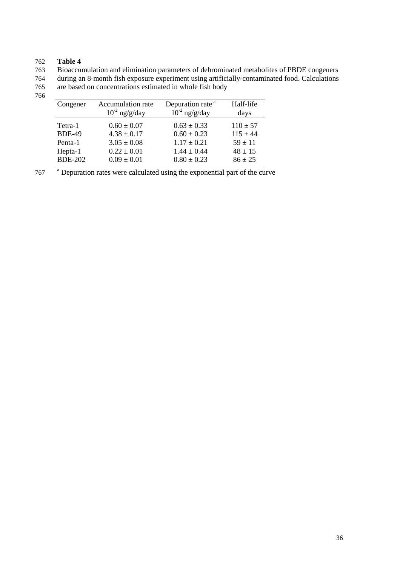## 762 **Table 4**

763 Bioaccumulation and elimination parameters of debrominated metabolites of PBDE congeners

764 during an 8-month fish exposure experiment using artificially-contaminated food. Calculations 765 are based on concentrations estimated in whole fish body

766

| Congener       | Accumulation rate  | Depuration rate <sup>a</sup> | Half-life    |
|----------------|--------------------|------------------------------|--------------|
|                | $10^{-2}$ ng/g/day | $10^{-2}$ ng/g/day           | days         |
|                |                    |                              |              |
| Tetra-1        | $0.60 \pm 0.07$    | $0.63 \pm 0.33$              | $110 \pm 57$ |
| <b>BDE-49</b>  | $4.38 \pm 0.17$    | $0.60 \pm 0.23$              | $115 \pm 44$ |
| Penta-1        | $3.05 \pm 0.08$    | $1.17 \pm 0.21$              | $59 + 11$    |
| Hepta-1        | $0.22 \pm 0.01$    | $1.44 \pm 0.44$              | $48 \pm 15$  |
| <b>BDE-202</b> | $0.09 \pm 0.01$    | $0.80 \pm 0.23$              | $86 \pm 25$  |

<sup>a</sup> Depuration rates were calculated using the exponential part of the curve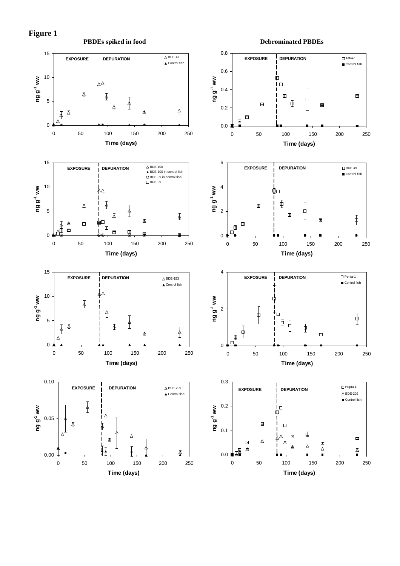

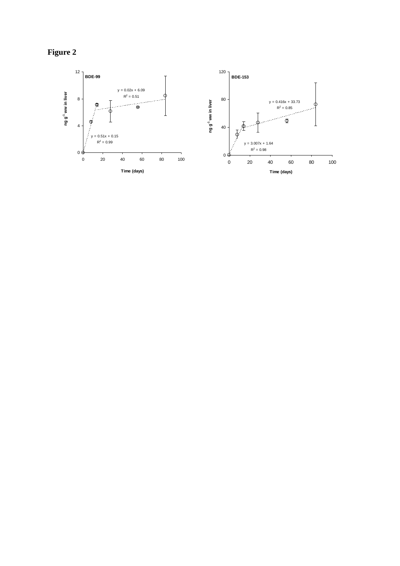**Figure 2** 

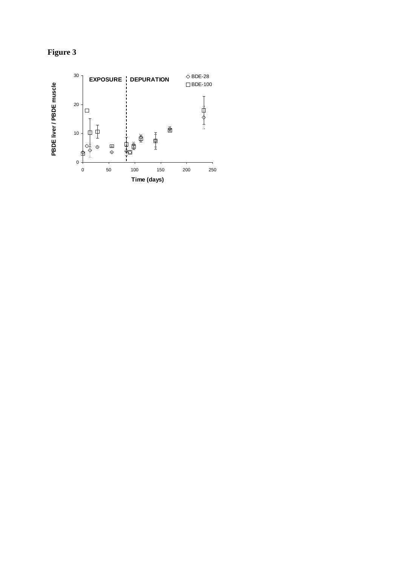

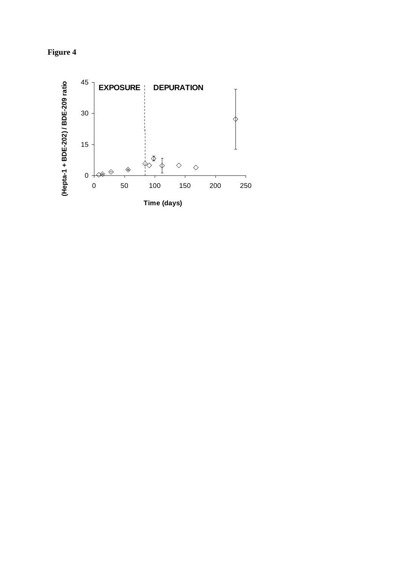